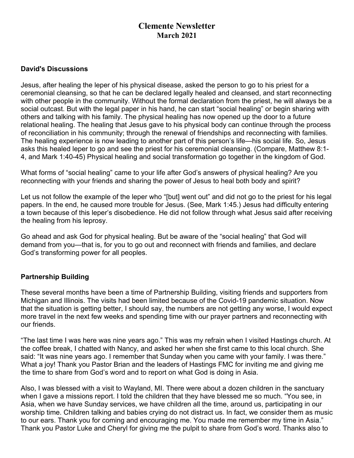# **Clemente Newsletter March 2021**

#### **David's Discussions**

Jesus, after healing the leper of his physical disease, asked the person to go to his priest for a ceremonial cleansing, so that he can be declared legally healed and cleansed, and start reconnecting with other people in the community. Without the formal declaration from the priest, he will always be a social outcast. But with the legal paper in his hand, he can start "social healing" or begin sharing with others and talking with his family. The physical healing has now opened up the door to a future relational healing. The healing that Jesus gave to his physical body can continue through the process of reconciliation in his community; through the renewal of friendships and reconnecting with families. The healing experience is now leading to another part of this person's life—his social life. So, Jesus asks this healed leper to go and see the priest for his ceremonial cleansing. (Compare, Matthew 8:1- 4, and Mark 1:40-45) Physical healing and social transformation go together in the kingdom of God.

What forms of "social healing" came to your life after God's answers of physical healing? Are you reconnecting with your friends and sharing the power of Jesus to heal both body and spirit?

Let us not follow the example of the leper who "[but] went out" and did not go to the priest for his legal papers. In the end, he caused more trouble for Jesus. (See, Mark 1:45.) Jesus had difficulty entering a town because of this leper's disobedience. He did not follow through what Jesus said after receiving the healing from his leprosy.

Go ahead and ask God for physical healing. But be aware of the "social healing" that God will demand from you—that is, for you to go out and reconnect with friends and families, and declare God's transforming power for all peoples.

#### **Partnership Building**

These several months have been a time of Partnership Building, visiting friends and supporters from Michigan and Illinois. The visits had been limited because of the Covid-19 pandemic situation. Now that the situation is getting better, I should say, the numbers are not getting any worse, I would expect more travel in the next few weeks and spending time with our prayer partners and reconnecting with our friends.

"The last time I was here was nine years ago." This was my refrain when I visited Hastings church. At the coffee break, I chatted with Nancy, and asked her when she first came to this local church. She said: "It was nine years ago. I remember that Sunday when you came with your family. I was there." What a joy! Thank you Pastor Brian and the leaders of Hastings FMC for inviting me and giving me the time to share from God's word and to report on what God is doing in Asia.

Also, I was blessed with a visit to Wayland, MI. There were about a dozen children in the sanctuary when I gave a missions report. I told the children that they have blessed me so much. "You see, in Asia, when we have Sunday services, we have children all the time, around us, participating in our worship time. Children talking and babies crying do not distract us. In fact, we consider them as music to our ears. Thank you for coming and encouraging me. You made me remember my time in Asia." Thank you Pastor Luke and Cheryl for giving me the pulpit to share from God's word. Thanks also to